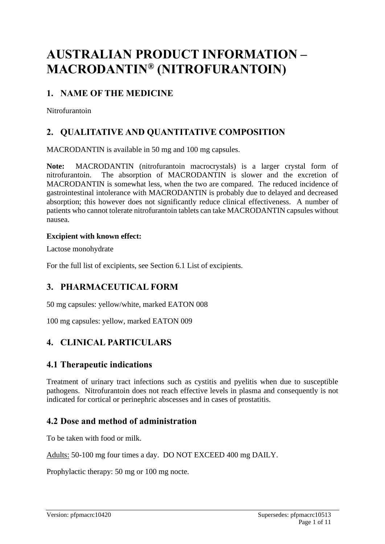# **AUSTRALIAN PRODUCT INFORMATION – MACRODANTIN® (NITROFURANTOIN)**

# **1. NAME OF THE MEDICINE**

Nitrofurantoin

# **2. QUALITATIVE AND QUANTITATIVE COMPOSITION**

MACRODANTIN is available in 50 mg and 100 mg capsules.

**Note:** MACRODANTIN (nitrofurantoin macrocrystals) is a larger crystal form of nitrofurantoin. The absorption of MACRODANTIN is slower and the excretion of MACRODANTIN is somewhat less, when the two are compared. The reduced incidence of gastrointestinal intolerance with MACRODANTIN is probably due to delayed and decreased absorption; this however does not significantly reduce clinical effectiveness. A number of patients who cannot tolerate nitrofurantoin tablets can take MACRODANTIN capsules without nausea.

#### **Excipient with known effect:**

Lactose monohydrate

For the full list of excipients, see Section 6.1 List of excipients.

# **3. PHARMACEUTICAL FORM**

50 mg capsules: yellow/white, marked EATON 008

100 mg capsules: yellow, marked EATON 009

# **4. CLINICAL PARTICULARS**

# **4.1 Therapeutic indications**

Treatment of urinary tract infections such as cystitis and pyelitis when due to susceptible pathogens. Nitrofurantoin does not reach effective levels in plasma and consequently is not indicated for cortical or perinephric abscesses and in cases of prostatitis.

# **4.2 Dose and method of administration**

To be taken with food or milk.

Adults: 50-100 mg four times a day. DO NOT EXCEED 400 mg DAILY.

Prophylactic therapy: 50 mg or 100 mg nocte.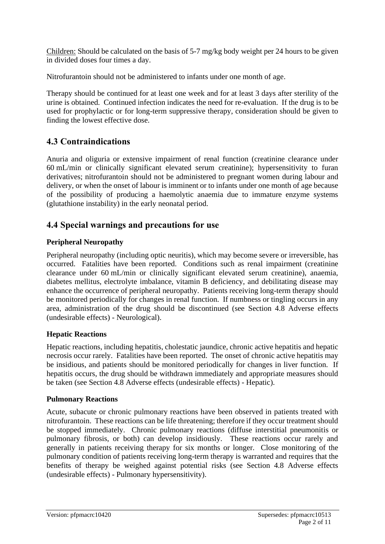Children: Should be calculated on the basis of 5-7 mg/kg body weight per 24 hours to be given in divided doses four times a day.

Nitrofurantoin should not be administered to infants under one month of age.

Therapy should be continued for at least one week and for at least 3 days after sterility of the urine is obtained. Continued infection indicates the need for re-evaluation. If the drug is to be used for prophylactic or for long-term suppressive therapy, consideration should be given to finding the lowest effective dose.

# **4.3 Contraindications**

Anuria and oliguria or extensive impairment of renal function (creatinine clearance under 60 mL/min or clinically significant elevated serum creatinine); hypersensitivity to furan derivatives; nitrofurantoin should not be administered to pregnant women during labour and delivery, or when the onset of labour is imminent or to infants under one month of age because of the possibility of producing a haemolytic anaemia due to immature enzyme systems (glutathione instability) in the early neonatal period.

## **4.4 Special warnings and precautions for use**

#### **Peripheral Neuropathy**

Peripheral neuropathy (including optic neuritis), which may become severe or irreversible, has occurred. Fatalities have been reported. Conditions such as renal impairment (creatinine clearance under 60 mL/min or clinically significant elevated serum creatinine), anaemia, diabetes mellitus, electrolyte imbalance, vitamin B deficiency, and debilitating disease may enhance the occurrence of peripheral neuropathy. Patients receiving long-term therapy should be monitored periodically for changes in renal function. If numbness or tingling occurs in any area, administration of the drug should be discontinued (see Section 4.8 Adverse effects (undesirable effects) - Neurological).

#### **Hepatic Reactions**

Hepatic reactions, including hepatitis, cholestatic jaundice, chronic active hepatitis and hepatic necrosis occur rarely. Fatalities have been reported. The onset of chronic active hepatitis may be insidious, and patients should be monitored periodically for changes in liver function. If hepatitis occurs, the drug should be withdrawn immediately and appropriate measures should be taken (see Section 4.8 Adverse effects (undesirable effects) - Hepatic).

#### **Pulmonary Reactions**

Acute, subacute or chronic pulmonary reactions have been observed in patients treated with nitrofurantoin. These reactions can be life threatening; therefore if they occur treatment should be stopped immediately. Chronic pulmonary reactions (diffuse interstitial pneumonitis or pulmonary fibrosis, or both) can develop insidiously. These reactions occur rarely and generally in patients receiving therapy for six months or longer. Close monitoring of the pulmonary condition of patients receiving long-term therapy is warranted and requires that the benefits of therapy be weighed against potential risks (see Section 4.8 Adverse effects (undesirable effects) - Pulmonary hypersensitivity).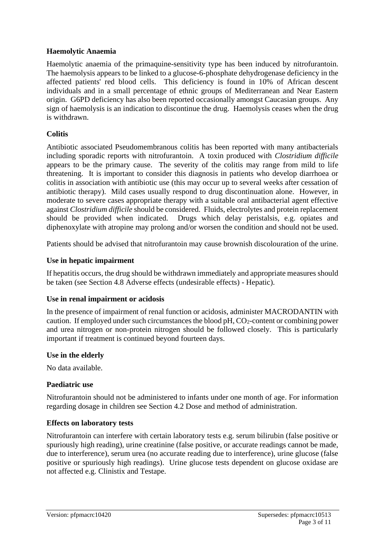#### **Haemolytic Anaemia**

Haemolytic anaemia of the primaquine-sensitivity type has been induced by nitrofurantoin. The haemolysis appears to be linked to a glucose-6-phosphate dehydrogenase deficiency in the affected patients' red blood cells. This deficiency is found in 10% of African descent individuals and in a small percentage of ethnic groups of Mediterranean and Near Eastern origin. G6PD deficiency has also been reported occasionally amongst Caucasian groups. Any sign of haemolysis is an indication to discontinue the drug. Haemolysis ceases when the drug is withdrawn.

#### **Colitis**

Antibiotic associated Pseudomembranous colitis has been reported with many antibacterials including sporadic reports with nitrofurantoin. A toxin produced with *Clostridium difficile* appears to be the primary cause. The severity of the colitis may range from mild to life threatening. It is important to consider this diagnosis in patients who develop diarrhoea or colitis in association with antibiotic use (this may occur up to several weeks after cessation of antibiotic therapy). Mild cases usually respond to drug discontinuation alone. However, in moderate to severe cases appropriate therapy with a suitable oral antibacterial agent effective against *Clostridium difficile* should be considered. Fluids, electrolytes and protein replacement should be provided when indicated. Drugs which delay peristalsis, e.g. opiates and diphenoxylate with atropine may prolong and/or worsen the condition and should not be used.

Patients should be advised that nitrofurantoin may cause brownish discolouration of the urine.

#### **Use in hepatic impairment**

If hepatitis occurs, the drug should be withdrawn immediately and appropriate measures should be taken (see Section 4.8 Adverse effects (undesirable effects) - Hepatic).

#### **Use in renal impairment or acidosis**

In the presence of impairment of renal function or acidosis, administer MACRODANTIN with caution. If employed under such circumstances the blood  $pH$ ,  $CO_2$ -content or combining power and urea nitrogen or non-protein nitrogen should be followed closely. This is particularly important if treatment is continued beyond fourteen days.

#### **Use in the elderly**

No data available.

#### **Paediatric use**

Nitrofurantoin should not be administered to infants under one month of age. For information regarding dosage in children see Section 4.2 Dose and method of administration.

#### **Effects on laboratory tests**

Nitrofurantoin can interfere with certain laboratory tests e.g. serum bilirubin (false positive or spuriously high reading), urine creatinine (false positive, or accurate readings cannot be made, due to interference), serum urea (no accurate reading due to interference), urine glucose (false positive or spuriously high readings). Urine glucose tests dependent on glucose oxidase are not affected e.g. Clinistix and Testape.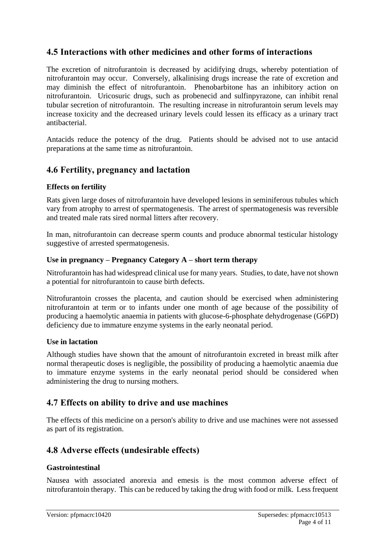## **4.5 Interactions with other medicines and other forms of interactions**

The excretion of nitrofurantoin is decreased by acidifying drugs, whereby potentiation of nitrofurantoin may occur. Conversely, alkalinising drugs increase the rate of excretion and may diminish the effect of nitrofurantoin. Phenobarbitone has an inhibitory action on nitrofurantoin. Uricosuric drugs, such as probenecid and sulfinpyrazone, can inhibit renal tubular secretion of nitrofurantoin. The resulting increase in nitrofurantoin serum levels may increase toxicity and the decreased urinary levels could lessen its efficacy as a urinary tract antibacterial.

Antacids reduce the potency of the drug. Patients should be advised not to use antacid preparations at the same time as nitrofurantoin.

### **4.6 Fertility, pregnancy and lactation**

#### **Effects on fertility**

Rats given large doses of nitrofurantoin have developed lesions in seminiferous tubules which vary from atrophy to arrest of spermatogenesis. The arrest of spermatogenesis was reversible and treated male rats sired normal litters after recovery.

In man, nitrofurantoin can decrease sperm counts and produce abnormal testicular histology suggestive of arrested spermatogenesis.

#### **Use in pregnancy – Pregnancy Category A – short term therapy**

Nitrofurantoin has had widespread clinical use for many years. Studies, to date, have not shown a potential for nitrofurantoin to cause birth defects.

Nitrofurantoin crosses the placenta, and caution should be exercised when administering nitrofurantoin at term or to infants under one month of age because of the possibility of producing a haemolytic anaemia in patients with glucose-6-phosphate dehydrogenase (G6PD) deficiency due to immature enzyme systems in the early neonatal period.

#### **Use in lactation**

Although studies have shown that the amount of nitrofurantoin excreted in breast milk after normal therapeutic doses is negligible, the possibility of producing a haemolytic anaemia due to immature enzyme systems in the early neonatal period should be considered when administering the drug to nursing mothers.

### **4.7 Effects on ability to drive and use machines**

The effects of this medicine on a person's ability to drive and use machines were not assessed as part of its registration.

### **4.8 Adverse effects (undesirable effects)**

#### **Gastrointestinal**

Nausea with associated anorexia and emesis is the most common adverse effect of nitrofurantoin therapy. This can be reduced by taking the drug with food or milk. Less frequent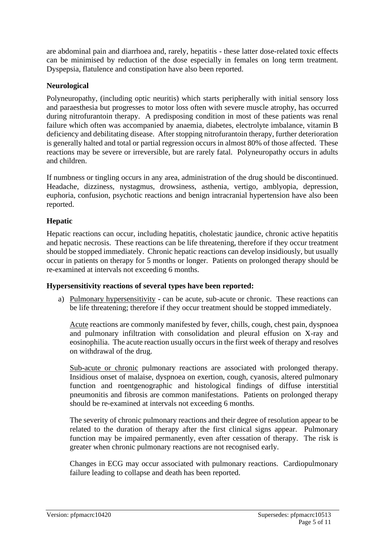are abdominal pain and diarrhoea and, rarely, hepatitis - these latter dose-related toxic effects can be minimised by reduction of the dose especially in females on long term treatment. Dyspepsia, flatulence and constipation have also been reported.

#### **Neurological**

Polyneuropathy, (including optic neuritis) which starts peripherally with initial sensory loss and paraesthesia but progresses to motor loss often with severe muscle atrophy, has occurred during nitrofurantoin therapy. A predisposing condition in most of these patients was renal failure which often was accompanied by anaemia, diabetes, electrolyte imbalance, vitamin B deficiency and debilitating disease. After stopping nitrofurantoin therapy, further deterioration is generally halted and total or partial regression occurs in almost 80% of those affected. These reactions may be severe or irreversible, but are rarely fatal. Polyneuropathy occurs in adults and children.

If numbness or tingling occurs in any area, administration of the drug should be discontinued. Headache, dizziness, nystagmus, drowsiness, asthenia, vertigo, amblyopia, depression, euphoria, confusion, psychotic reactions and benign intracranial hypertension have also been reported.

#### **Hepatic**

Hepatic reactions can occur, including hepatitis, cholestatic jaundice, chronic active hepatitis and hepatic necrosis. These reactions can be life threatening, therefore if they occur treatment should be stopped immediately. Chronic hepatic reactions can develop insidiously, but usually occur in patients on therapy for 5 months or longer. Patients on prolonged therapy should be re-examined at intervals not exceeding 6 months.

#### **Hypersensitivity reactions of several types have been reported:**

a) Pulmonary hypersensitivity - can be acute, sub-acute or chronic. These reactions can be life threatening; therefore if they occur treatment should be stopped immediately.

Acute reactions are commonly manifested by fever, chills, cough, chest pain, dyspnoea and pulmonary infiltration with consolidation and pleural effusion on X-ray and eosinophilia. The acute reaction usually occurs in the first week of therapy and resolves on withdrawal of the drug.

Sub-acute or chronic pulmonary reactions are associated with prolonged therapy. Insidious onset of malaise, dyspnoea on exertion, cough, cyanosis, altered pulmonary function and roentgenographic and histological findings of diffuse interstitial pneumonitis and fibrosis are common manifestations. Patients on prolonged therapy should be re-examined at intervals not exceeding 6 months.

The severity of chronic pulmonary reactions and their degree of resolution appear to be related to the duration of therapy after the first clinical signs appear. Pulmonary function may be impaired permanently, even after cessation of therapy. The risk is greater when chronic pulmonary reactions are not recognised early.

Changes in ECG may occur associated with pulmonary reactions. Cardiopulmonary failure leading to collapse and death has been reported.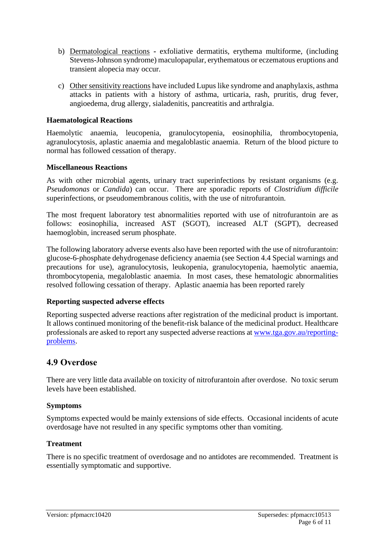- b) Dermatological reactions **-** exfoliative dermatitis, erythema multiforme, (including Stevens-Johnson syndrome) maculopapular, erythematous or eczematous eruptions and transient alopecia may occur.
- c) Other sensitivity reactions have included Lupus like syndrome and anaphylaxis, asthma attacks in patients with a history of asthma, urticaria, rash, pruritis, drug fever, angioedema, drug allergy, sialadenitis, pancreatitis and arthralgia.

#### **Haematological Reactions**

Haemolytic anaemia, leucopenia, granulocytopenia, eosinophilia, thrombocytopenia, agranulocytosis, aplastic anaemia and megaloblastic anaemia. Return of the blood picture to normal has followed cessation of therapy.

#### **Miscellaneous Reactions**

As with other microbial agents, urinary tract superinfections by resistant organisms (e.g. *Pseudomonas* or *Candida*) can occur. There are sporadic reports of *Clostridium difficile* superinfections, or pseudomembranous colitis, with the use of nitrofurantoin.

The most frequent laboratory test abnormalities reported with use of nitrofurantoin are as follows: eosinophilia, increased AST (SGOT), increased ALT (SGPT), decreased haemoglobin, increased serum phosphate.

The following laboratory adverse events also have been reported with the use of nitrofurantoin: glucose-6-phosphate dehydrogenase deficiency anaemia (see Section 4.4 Special warnings and precautions for use), agranulocytosis, leukopenia, granulocytopenia, haemolytic anaemia, thrombocytopenia, megaloblastic anaemia. In most cases, these hematologic abnormalities resolved following cessation of therapy. Aplastic anaemia has been reported rarely

#### **Reporting suspected adverse effects**

Reporting suspected adverse reactions after registration of the medicinal product is important. It allows continued monitoring of the benefit-risk balance of the medicinal product. Healthcare professionals are asked to report any suspected adverse reactions at [www.tga.gov.au/reporting](http://www.tga.gov.au/reporting-problems)[problems.](http://www.tga.gov.au/reporting-problems)

#### **4.9 Overdose**

There are very little data available on toxicity of nitrofurantoin after overdose. No toxic serum levels have been established.

#### **Symptoms**

Symptoms expected would be mainly extensions of side effects. Occasional incidents of acute overdosage have not resulted in any specific symptoms other than vomiting.

#### **Treatment**

There is no specific treatment of overdosage and no antidotes are recommended. Treatment is essentially symptomatic and supportive.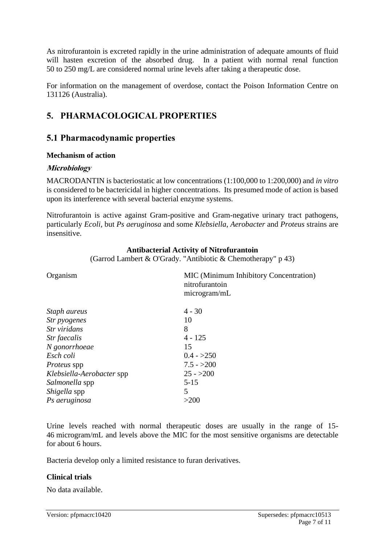As nitrofurantoin is excreted rapidly in the urine administration of adequate amounts of fluid will hasten excretion of the absorbed drug. In a patient with normal renal function 50 to 250 mg/L are considered normal urine levels after taking a therapeutic dose.

For information on the management of overdose, contact the Poison Information Centre on 131126 (Australia).

# **5. PHARMACOLOGICAL PROPERTIES**

# **5.1 Pharmacodynamic properties**

#### **Mechanism of action**

### **Microbiology**

MACRODANTIN is bacteriostatic at low concentrations (1:100,000 to 1:200,000) and *in vitro* is considered to be bactericidal in higher concentrations. Its presumed mode of action is based upon its interference with several bacterial enzyme systems.

Nitrofurantoin is active against Gram-positive and Gram-negative urinary tract pathogens, particularly *Ecoli*, but *Ps aeruginosa* and some *Klebsiella*, *Aerobacter* and *Proteus* strains are insensitive.

#### **Antibacterial Activity of Nitrofurantoin**

(Garrod Lambert & O'Grady. "Antibiotic & Chemotherapy" p 43)

| Organism                  | <b>MIC</b> (Minimum Inhibitory Concentration)<br>nitrofurantoin<br>microgram/mL |
|---------------------------|---------------------------------------------------------------------------------|
| Staph aureus              | $4 - 30$                                                                        |
| Str pyogenes              | 10                                                                              |
| Str viridans              | 8                                                                               |
| Str faecalis              | $4 - 125$                                                                       |
| N gonorrhoeae             | 15                                                                              |
| Esch coli                 | $0.4 - >250$                                                                    |
| Proteus spp               | $7.5 - >200$                                                                    |
| Klebsiella-Aerobacter spp | $25 - 200$                                                                      |
| Salmonella spp            | $5 - 15$                                                                        |
| Shigella spp              | 5                                                                               |
| Ps aeruginosa             | >200                                                                            |

Urine levels reached with normal therapeutic doses are usually in the range of 15- 46 microgram/mL and levels above the MIC for the most sensitive organisms are detectable for about 6 hours.

Bacteria develop only a limited resistance to furan derivatives.

#### **Clinical trials**

No data available.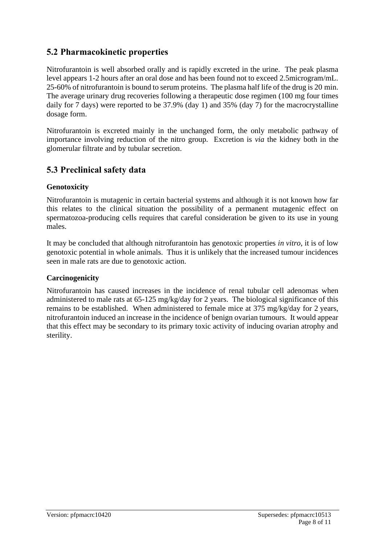# **5.2 Pharmacokinetic properties**

Nitrofurantoin is well absorbed orally and is rapidly excreted in the urine. The peak plasma level appears 1-2 hours after an oral dose and has been found not to exceed 2.5microgram/mL. 25-60% of nitrofurantoin is bound to serum proteins. The plasma half life of the drug is 20 min. The average urinary drug recoveries following a therapeutic dose regimen (100 mg four times daily for 7 days) were reported to be 37.9% (day 1) and 35% (day 7) for the macrocrystalline dosage form.

Nitrofurantoin is excreted mainly in the unchanged form, the only metabolic pathway of importance involving reduction of the nitro group. Excretion is *via* the kidney both in the glomerular filtrate and by tubular secretion.

# **5.3 Preclinical safety data**

#### **Genotoxicity**

Nitrofurantoin is mutagenic in certain bacterial systems and although it is not known how far this relates to the clinical situation the possibility of a permanent mutagenic effect on spermatozoa-producing cells requires that careful consideration be given to its use in young males.

It may be concluded that although nitrofurantoin has genotoxic properties *in vitro*, it is of low genotoxic potential in whole animals. Thus it is unlikely that the increased tumour incidences seen in male rats are due to genotoxic action.

#### **Carcinogenicity**

Nitrofurantoin has caused increases in the incidence of renal tubular cell adenomas when administered to male rats at 65-125 mg/kg/day for 2 years. The biological significance of this remains to be established. When administered to female mice at 375 mg/kg/day for 2 years, nitrofurantoin induced an increase in the incidence of benign ovarian tumours. It would appear that this effect may be secondary to its primary toxic activity of inducing ovarian atrophy and sterility.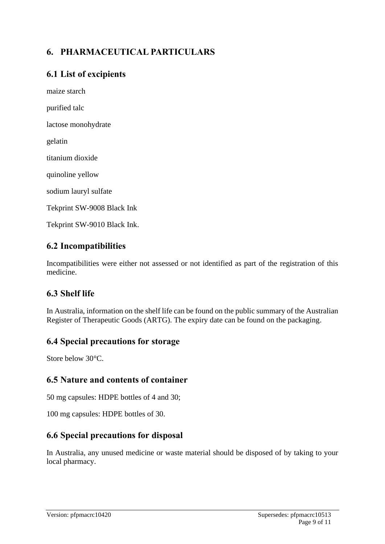# **6. PHARMACEUTICAL PARTICULARS**

# **6.1 List of excipients**

maize starch purified talc lactose monohydrate gelatin titanium dioxide quinoline yellow sodium lauryl sulfate

Tekprint SW-9008 Black Ink

Tekprint SW-9010 Black Ink.

## **6.2 Incompatibilities**

Incompatibilities were either not assessed or not identified as part of the registration of this medicine.

# **6.3 Shelf life**

In Australia, information on the shelf life can be found on the public summary of the Australian Register of Therapeutic Goods (ARTG). The expiry date can be found on the packaging.

### **6.4 Special precautions for storage**

Store below 30°C.

### **6.5 Nature and contents of container**

50 mg capsules: HDPE bottles of 4 and 30;

100 mg capsules: HDPE bottles of 30.

# **6.6 Special precautions for disposal**

In Australia, any unused medicine or waste material should be disposed of by taking to your local pharmacy.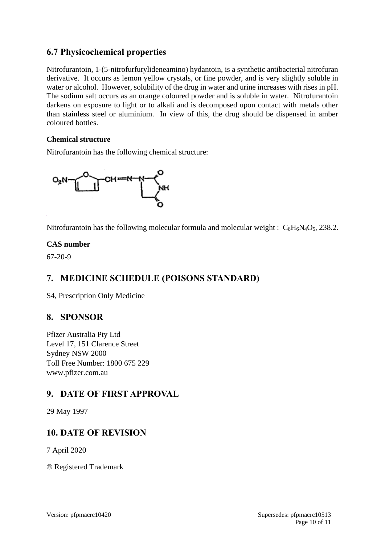# **6.7 Physicochemical properties**

Nitrofurantoin, 1-(5-nitrofurfurylideneamino) hydantoin, is a synthetic antibacterial nitrofuran derivative. It occurs as lemon yellow crystals, or fine powder, and is very slightly soluble in water or alcohol. However, solubility of the drug in water and urine increases with rises in pH. The sodium salt occurs as an orange coloured powder and is soluble in water. Nitrofurantoin darkens on exposure to light or to alkali and is decomposed upon contact with metals other than stainless steel or aluminium. In view of this, the drug should be dispensed in amber coloured bottles.

#### **Chemical structure**

Nitrofurantoin has the following chemical structure:



Nitrofurantoin has the following molecular formula and molecular weight :  $C_8H_6N_4O_5$ , 238.2.

#### **CAS number**

67-20-9

# **7. MEDICINE SCHEDULE (POISONS STANDARD)**

S4, Prescription Only Medicine

# **8. SPONSOR**

Pfizer Australia Pty Ltd Level 17, 151 Clarence Street Sydney NSW 2000 Toll Free Number: 1800 675 229 www.pfizer.com.au

# **9. DATE OF FIRST APPROVAL**

29 May 1997

# **10. DATE OF REVISION**

7 April 2020

® Registered Trademark